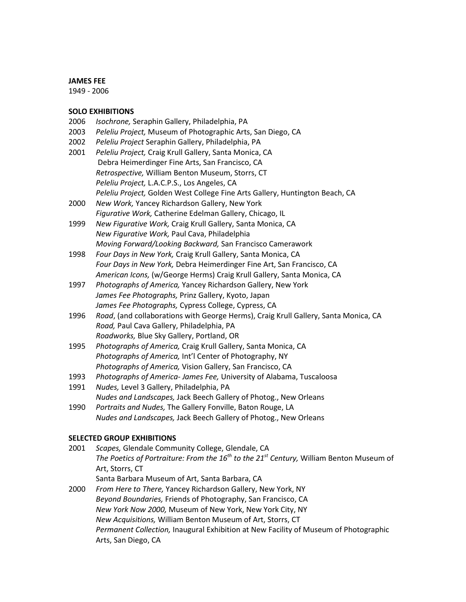#### **JAMES FEE**

1949 - 2006

#### **SOLO EXHIBITIONS**

- 2006 *Isochrone,* Seraphin Gallery, Philadelphia, PA
- 2003 *Peleliu Project,* Museum of Photographic Arts, San Diego, CA
- 2002 *Peleliu Project* Seraphin Gallery, Philadelphia, PA
- 2001 *Peleliu Project,* Craig Krull Gallery, Santa Monica, CA Debra Heimerdinger Fine Arts, San Francisco, CA *Retrospective,* William Benton Museum, Storrs, CT *Peleliu Project,* L.A.C.P.S., Los Angeles, CA *Peleliu Project,* Golden West College Fine Arts Gallery, Huntington Beach, CA
- 2000 *New Work,* Yancey Richardson Gallery, New York *Figurative Work,* Catherine Edelman Gallery, Chicago, IL
- 1999 *New Figurative Work,* Craig Krull Gallery, Santa Monica, CA *New Figurative Work,* Paul Cava, Philadelphia *Moving Forward/Looking Backward,* San Francisco Camerawork
- 1998 *Four Days in New York,* Craig Krull Gallery, Santa Monica, CA *Four Days in New York,* Debra Heimerdinger Fine Art, San Francisco, CA *American Icons,* (w/George Herms) Craig Krull Gallery, Santa Monica, CA
- 1997 *Photographs of America,* Yancey Richardson Gallery, New York *James Fee Photographs,* Prinz Gallery, Kyoto, Japan *James Fee Photographs,* Cypress College, Cypress, CA
- 1996 *Road*, (and collaborations with George Herms), Craig Krull Gallery, Santa Monica, CA *Road,* Paul Cava Gallery, Philadelphia, PA *Roadworks,* Blue Sky Gallery, Portland, OR
- 1995 *Photographs of America,* Craig Krull Gallery, Santa Monica, CA *Photographs of America,* Int'l Center of Photography, NY *Photographs of America,* Vision Gallery, San Francisco, CA
- 1993 *Photographs of America- James Fee,* University of Alabama, Tuscaloosa
- 1991 *Nudes,* Level 3 Gallery, Philadelphia, PA *Nudes and Landscapes,* Jack Beech Gallery of Photog., New Orleans
- 1990 *Portraits and Nudes,* The Gallery Fonville, Baton Rouge, LA *Nudes and Landscapes,* Jack Beech Gallery of Photog., New Orleans

#### **SELECTED GROUP EXHIBITIONS**

- 2001 *Scapes,* Glendale Community College, Glendale, CA *The Poetics of Portraiture: From the 16th to the 21st Century,* William Benton Museum of Art, Storrs, CT Santa Barbara Museum of Art, Santa Barbara, CA
- 2000 *From Here to There,* Yancey Richardson Gallery, New York, NY *Beyond Boundaries,* Friends of Photography, San Francisco, CA *New York Now 2000,* Museum of New York, New York City, NY *New Acquisitions,* William Benton Museum of Art, Storrs, CT *Permanent Collection,* Inaugural Exhibition at New Facility of Museum of Photographic Arts, San Diego, CA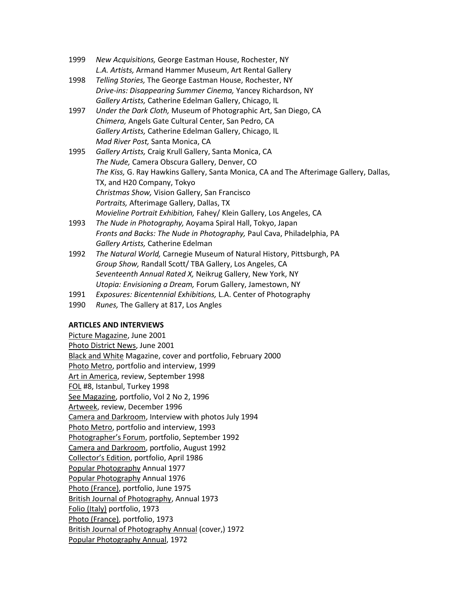- 1999 *New Acquisitions,* George Eastman House, Rochester, NY *L.A. Artists,* Armand Hammer Museum, Art Rental Gallery
- 1998 *Telling Stories,* The George Eastman House, Rochester, NY *Drive-ins: Disappearing Summer Cinema,* Yancey Richardson, NY *Gallery Artists,* Catherine Edelman Gallery, Chicago, IL
- 1997 *Under the Dark Cloth,* Museum of Photographic Art, San Diego, CA *Chimera,* Angels Gate Cultural Center, San Pedro, CA *Gallery Artists,* Catherine Edelman Gallery, Chicago, IL *Mad River Post,* Santa Monica, CA
- 1995 *Gallery Artists,* Craig Krull Gallery, Santa Monica, CA *The Nude,* Camera Obscura Gallery, Denver, CO *The Kiss,* G. Ray Hawkins Gallery, Santa Monica, CA and The Afterimage Gallery, Dallas, TX, and H20 Company, Tokyo *Christmas Show,* Vision Gallery, San Francisco *Portraits,* Afterimage Gallery, Dallas, TX *Movieline Portrait Exhibition,* Fahey/ Klein Gallery, Los Angeles, CA
- 1993 *The Nude in Photography,* Aoyama Spiral Hall, Tokyo, Japan *Fronts and Backs: The Nude in Photography,* Paul Cava, Philadelphia, PA *Gallery Artists,* Catherine Edelman
- 1992 *The Natural World,* Carnegie Museum of Natural History, Pittsburgh, PA *Group Show,* Randall Scott/ TBA Gallery, Los Angeles, CA *Seventeenth Annual Rated X,* Neikrug Gallery, New York, NY *Utopia: Envisioning a Dream,* Forum Gallery, Jamestown, NY
- 1991 *Exposures: Bicentennial Exhibitions,* L.A. Center of Photography
- 1990 *Runes,* The Gallery at 817, Los Angles

# **ARTICLES AND INTERVIEWS**

Picture Magazine, June 2001 Photo District News, June 2001 Black and White Magazine, cover and portfolio, February 2000 Photo Metro, portfolio and interview, 1999 Art in America, review, September 1998 FOL #8, Istanbul, Turkey 1998 See Magazine, portfolio, Vol 2 No 2, 1996 Artweek, review, December 1996 Camera and Darkroom, Interview with photos July 1994 Photo Metro, portfolio and interview, 1993 Photographer's Forum, portfolio, September 1992 Camera and Darkroom, portfolio, August 1992 Collector's Edition, portfolio, April 1986 Popular Photography Annual 1977 Popular Photography Annual 1976 Photo (France), portfolio, June 1975 British Journal of Photography, Annual 1973 Folio (Italy) portfolio, 1973 Photo (France), portfolio, 1973 British Journal of Photography Annual (cover,) 1972 Popular Photography Annual, 1972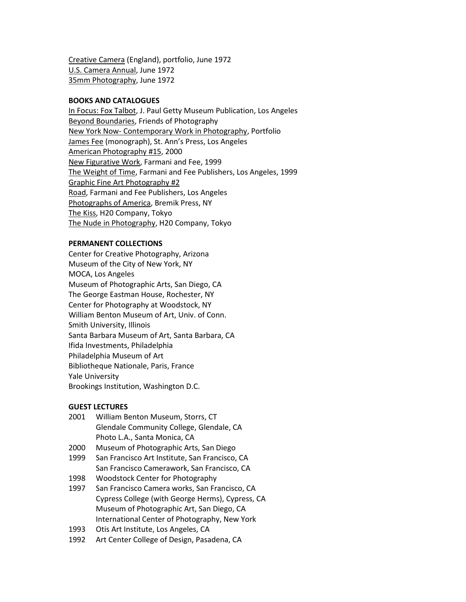Creative Camera (England), portfolio, June 1972 U.S. Camera Annual, June 1972 35mm Photography, June 1972

#### **BOOKS AND CATALOGUES**

In Focus: Fox Talbot, J. Paul Getty Museum Publication, Los Angeles Beyond Boundaries, Friends of Photography New York Now- Contemporary Work in Photography, Portfolio James Fee (monograph), St. Ann's Press, Los Angeles American Photography #15, 2000 New Figurative Work, Farmani and Fee, 1999 The Weight of Time, Farmani and Fee Publishers, Los Angeles, 1999 Graphic Fine Art Photography #2 Road, Farmani and Fee Publishers, Los Angeles Photographs of America, Bremik Press, NY The Kiss, H20 Company, Tokyo The Nude in Photography, H20 Company, Tokyo

#### **PERMANENT COLLECTIONS**

Center for Creative Photography, Arizona Museum of the City of New York, NY MOCA, Los Angeles Museum of Photographic Arts, San Diego, CA The George Eastman House, Rochester, NY Center for Photography at Woodstock, NY William Benton Museum of Art, Univ. of Conn. Smith University, Illinois Santa Barbara Museum of Art, Santa Barbara, CA Ifida Investments, Philadelphia Philadelphia Museum of Art Bibliotheque Nationale, Paris, France Yale University Brookings Institution, Washington D.C.

## **GUEST LECTURES**

- 2001 William Benton Museum, Storrs, CT Glendale Community College, Glendale, CA Photo L.A., Santa Monica, CA
- 2000 Museum of Photographic Arts, San Diego
- 1999 San Francisco Art Institute, San Francisco, CA San Francisco Camerawork, San Francisco, CA
- 1998 Woodstock Center for Photography
- 1997 San Francisco Camera works, San Francisco, CA Cypress College (with George Herms), Cypress, CA Museum of Photographic Art, San Diego, CA International Center of Photography, New York
- 1993 Otis Art Institute, Los Angeles, CA
- 1992 Art Center College of Design, Pasadena, CA